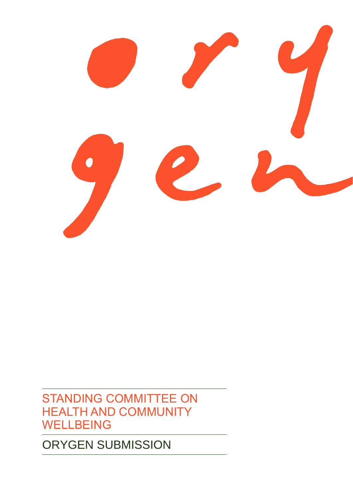

STANDING COMMITTEE ON HEALTH AND COMMUNITY **WELLBEING** 

ORYGEN SUBMISSION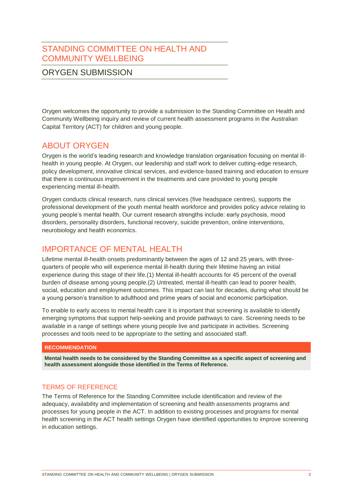# STANDING COMMITTEE ON HEALTH AND COMMUNITY WELLBEING

# ORYGEN SUBMISSION

Orygen welcomes the opportunity to provide a submission to the Standing Committee on Health and Community Wellbeing inquiry and review of current health assessment programs in the Australian Capital Territory (ACT) for children and young people.

# ABOUT ORYGEN

Orygen is the world's leading research and knowledge translation organisation focusing on mental illhealth in young people. At Orygen, our leadership and staff work to deliver cutting-edge research, policy development, innovative clinical services, and evidence-based training and education to ensure that there is continuous improvement in the treatments and care provided to young people experiencing mental ill-health.

Orygen conducts clinical research, runs clinical services (five headspace centres), supports the professional development of the youth mental health workforce and provides policy advice relating to young people's mental health. Our current research strengths include: early psychosis, mood disorders, personality disorders, functional recovery, suicide prevention, online interventions, neurobiology and health economics.

# IMPORTANCE OF MENTAL HEALTH

Lifetime mental ill-health onsets predominantly between the ages of 12 and 25 years, with threequarters of people who will experience mental ill-health during their lifetime having an initial experience during this stage of their life.(1) Mental ill-health accounts for 45 percent of the overall burden of disease among young people.(2) Untreated, mental ill-health can lead to poorer health, social, education and employment outcomes. This impact can last for decades, during what should be a young person's transition to adulthood and prime years of social and economic participation.

To enable to early access to mental health care it is important that screening is available to identify emerging symptoms that support help-seeking and provide pathways to care. Screening needs to be available in a range of settings where young people live and participate in activities. Screening processes and tools need to be appropriate to the setting and associated staff.

# **RECOMMENDATION**

**Mental health needs to be considered by the Standing Committee as a specific aspect of screening and health assessment alongside those identified in the Terms of Reference.**

# TERMS OF REFERENCE

The Terms of Reference for the Standing Committee include identification and review of the adequacy, availability and implementation of screening and health assessments programs and processes for young people in the ACT. In addition to existing processes and programs for mental health screening in the ACT health settings Orygen have identified opportunities to improve screening in education settings.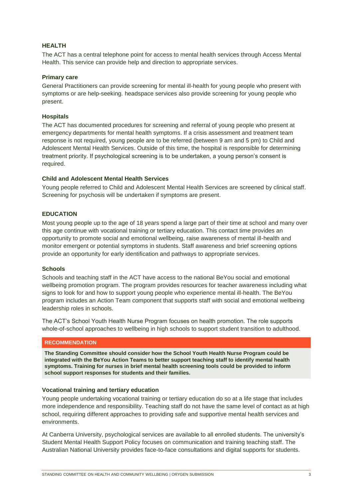# **HEALTH**

The ACT has a central telephone point for access to mental health services through Access Mental Health. This service can provide help and direction to appropriate services.

#### **Primary care**

General Practitioners can provide screening for mental ill-health for young people who present with symptoms or are help-seeking. headspace services also provide screening for young people who present.

#### **Hospitals**

The ACT has documented procedures for screening and referral of young people who present at emergency departments for mental health symptoms. If a crisis assessment and treatment team response is not required, young people are to be referred (between 9 am and 5 pm) to Child and Adolescent Mental Health Services. Outside of this time, the hospital is responsible for determining treatment priority. If psychological screening is to be undertaken, a young person's consent is required.

### **Child and Adolescent Mental Health Services**

Young people referred to Child and Adolescent Mental Health Services are screened by clinical staff. Screening for psychosis will be undertaken if symptoms are present.

# **EDUCATION**

Most young people up to the age of 18 years spend a large part of their time at school and many over this age continue with vocational training or tertiary education. This contact time provides an opportunity to promote social and emotional wellbeing, raise awareness of mental ill-health and monitor emergent or potential symptoms in students. Staff awareness and brief screening options provide an opportunity for early identification and pathways to appropriate services.

#### **Schools**

Schools and teaching staff in the ACT have access to the national BeYou social and emotional wellbeing promotion program. The program provides resources for teacher awareness including what signs to look for and how to support young people who experience mental ill-health. The BeYou program includes an Action Team component that supports staff with social and emotional wellbeing leadership roles in schools.

The ACT's School Youth Health Nurse Program focuses on health promotion. The role supports whole-of-school approaches to wellbeing in high schools to support student transition to adulthood.

#### **RECOMMENDATION**

**The Standing Committee should consider how the School Youth Health Nurse Program could be integrated with the BeYou Action Teams to better support teaching staff to identify mental health symptoms. Training for nurses in brief mental health screening tools could be provided to inform school support responses for students and their families.**

#### **Vocational training and tertiary education**

Young people undertaking vocational training or tertiary education do so at a life stage that includes more independence and responsibility. Teaching staff do not have the same level of contact as at high school, requiring different approaches to providing safe and supportive mental health services and environments.

At Canberra University, psychological services are available to all enrolled students. The university's Student Mental Health Support Policy focuses on communication and training teaching staff. The Australian National University provides face-to-face consultations and digital supports for students.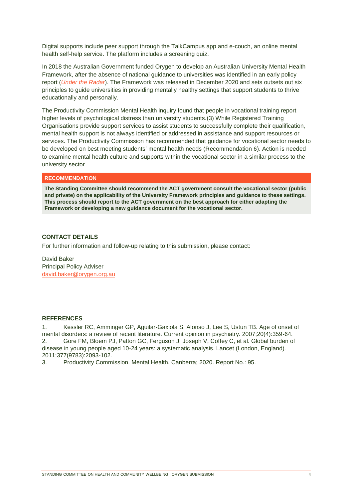Digital supports include peer support through the TalkCampus app and e-couch, an online mental health self-help service. The platform includes a screening quiz.

In 2018 the Australian Government funded Orygen to develop an Australian University Mental Health Framework, after the absence of national guidance to universities was identified in an early policy report (*[Under the Radar](https://www.orygen.org.au/Policy/Policy-Reports/Under-the-radar)*). The Framework was released in December 2020 and sets outsets out six principles to guide universities in providing mentally healthy settings that support students to thrive educationally and personally.

The Productivity Commission Mental Health inquiry found that people in vocational training report higher levels of psychological distress than university students.(3) While Registered Training Organisations provide support services to assist students to successfully complete their qualification, mental health support is not always identified or addressed in assistance and support resources or services. The Productivity Commission has recommended that guidance for vocational sector needs to be developed on best meeting students' mental health needs (Recommendation 6). Action is needed to examine mental health culture and supports within the vocational sector in a similar process to the university sector.

### **RECOMMENDATION**

**The Standing Committee should recommend the ACT government consult the vocational sector (public and private) on the applicability of the University Framework principles and guidance to these settings. This process should report to the ACT government on the best approach for either adapting the Framework or developing a new guidance document for the vocational sector.**

## **CONTACT DETAILS**

For further information and follow-up relating to this submission, please contact:

David Baker Principal Policy Adviser [david.baker@orygen.org.au](mailto:david.baker@orygen.org.au)

#### **REFERENCES**

1. Kessler RC, Amminger GP, Aguilar-Gaxiola S, Alonso J, Lee S, Ustun TB. Age of onset of mental disorders: a review of recent literature. Current opinion in psychiatry. 2007;20(4):359-64. 2. Gore FM, Bloem PJ, Patton GC, Ferguson J, Joseph V, Coffey C, et al. Global burden of disease in young people aged 10-24 years: a systematic analysis. Lancet (London, England). 2011;377(9783):2093-102.

3. Productivity Commission. Mental Health. Canberra; 2020. Report No.: 95.